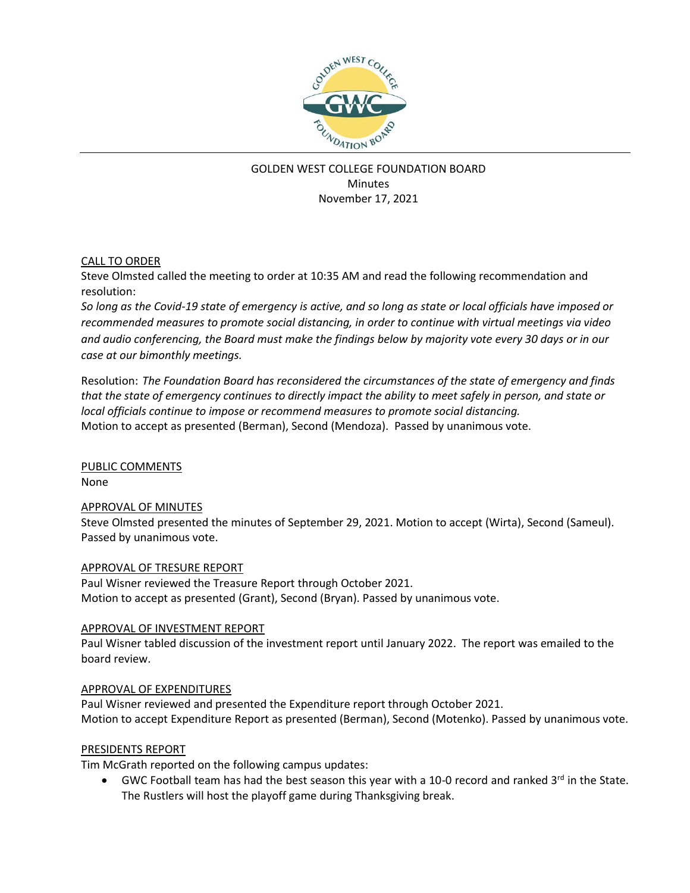

# GOLDEN WEST COLLEGE FOUNDATION BOARD **Minutes** November 17, 2021

# CALL TO ORDER

Steve Olmsted called the meeting to order at 10:35 AM and read the following recommendation and resolution:

*So long as the Covid-19 state of emergency is active, and so long as state or local officials have imposed or recommended measures to promote social distancing, in order to continue with virtual meetings via video and audio conferencing, the Board must make the findings below by majority vote every 30 days or in our case at our bimonthly meetings.*

Resolution: *The Foundation Board has reconsidered the circumstances of the state of emergency and finds that the state of emergency continues to directly impact the ability to meet safely in person, and state or local officials continue to impose or recommend measures to promote social distancing.* Motion to accept as presented (Berman), Second (Mendoza). Passed by unanimous vote.

PUBLIC COMMENTS None

## APPROVAL OF MINUTES

Steve Olmsted presented the minutes of September 29, 2021. Motion to accept (Wirta), Second (Sameul). Passed by unanimous vote.

## APPROVAL OF TRESURE REPORT

Paul Wisner reviewed the Treasure Report through October 2021. Motion to accept as presented (Grant), Second (Bryan). Passed by unanimous vote.

## APPROVAL OF INVESTMENT REPORT

Paul Wisner tabled discussion of the investment report until January 2022. The report was emailed to the board review.

## APPROVAL OF EXPENDITURES

Paul Wisner reviewed and presented the Expenditure report through October 2021. Motion to accept Expenditure Report as presented (Berman), Second (Motenko). Passed by unanimous vote.

## PRESIDENTS REPORT

Tim McGrath reported on the following campus updates:

• GWC Football team has had the best season this year with a 10-0 record and ranked 3rd in the State. The Rustlers will host the playoff game during Thanksgiving break.